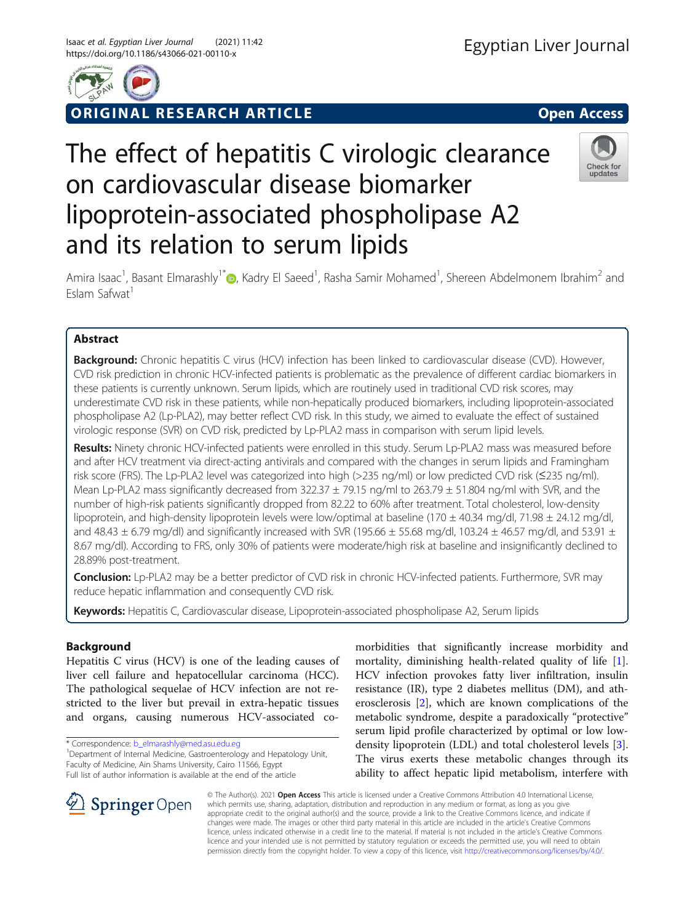

ORIGINAL RESEARCH ARTICLE **External of the Second Access** 

# The effect of hepatitis C virologic clearance on cardiovascular disease biomarker lipoprotein-associated phospholipase A2 and its relation to serum lipids



Amira Isaac<sup>1</sup>[,](http://orcid.org/0000-0002-5384-4608) Basant Elmarashly<sup>1\*</sup> (@, Kadry El Saeed<sup>1</sup>, Rasha Samir Mohamed<sup>1</sup>, Shereen Abdelmonem Ibrahim<sup>2</sup> and Eslam Safwat<sup>1</sup>

# Abstract

**Background:** Chronic hepatitis C virus (HCV) infection has been linked to cardiovascular disease (CVD). However, CVD risk prediction in chronic HCV-infected patients is problematic as the prevalence of different cardiac biomarkers in these patients is currently unknown. Serum lipids, which are routinely used in traditional CVD risk scores, may underestimate CVD risk in these patients, while non-hepatically produced biomarkers, including lipoprotein-associated phospholipase A2 (Lp-PLA2), may better reflect CVD risk. In this study, we aimed to evaluate the effect of sustained virologic response (SVR) on CVD risk, predicted by Lp-PLA2 mass in comparison with serum lipid levels.

Results: Ninety chronic HCV-infected patients were enrolled in this study. Serum Lp-PLA2 mass was measured before and after HCV treatment via direct-acting antivirals and compared with the changes in serum lipids and Framingham risk score (FRS). The Lp-PLA2 level was categorized into high (>235 ng/ml) or low predicted CVD risk (≤235 ng/ml). Mean Lp-PLA2 mass significantly decreased from 322.37  $\pm$  79.15 ng/ml to 263.79  $\pm$  51.804 ng/ml with SVR, and the number of high-risk patients significantly dropped from 82.22 to 60% after treatment. Total cholesterol, low-density lipoprotein, and high-density lipoprotein levels were low/optimal at baseline (170  $\pm$  40.34 mg/dl, 71.98  $\pm$  24.12 mg/dl, and 48.43  $\pm$  6.79 mg/dl) and significantly increased with SVR (195.66  $\pm$  55.68 mg/dl, 103.24  $\pm$  46.57 mg/dl, and 53.91  $\pm$ 8.67 mg/dl). According to FRS, only 30% of patients were moderate/high risk at baseline and insignificantly declined to 28.89% post-treatment.

Conclusion: Lp-PLA2 may be a better predictor of CVD risk in chronic HCV-infected patients. Furthermore, SVR may reduce hepatic inflammation and consequently CVD risk.

Keywords: Hepatitis C, Cardiovascular disease, Lipoprotein-associated phospholipase A2, Serum lipids

# Background

Hepatitis C virus (HCV) is one of the leading causes of liver cell failure and hepatocellular carcinoma (HCC). The pathological sequelae of HCV infection are not restricted to the liver but prevail in extra-hepatic tissues and organs, causing numerous HCV-associated co-

\* Correspondence: [b\\_elmarashly@med.asu.edu.eg](mailto:b_elmarashly@med.asu.edu.eg) <sup>1</sup>

<sup>1</sup> Department of Internal Medicine, Gastroenterology and Hepatology Unit, Faculty of Medicine, Ain Shams University, Cairo 11566, Egypt Full list of author information is available at the end of the article

morbidities that significantly increase morbidity and mortality, diminishing health-related quality of life [\[1](#page-7-0)]. HCV infection provokes fatty liver infiltration, insulin resistance (IR), type 2 diabetes mellitus (DM), and atherosclerosis [[2](#page-7-0)], which are known complications of the metabolic syndrome, despite a paradoxically "protective" serum lipid profile characterized by optimal or low lowdensity lipoprotein (LDL) and total cholesterol levels [\[3](#page-7-0)]. The virus exerts these metabolic changes through its ability to affect hepatic lipid metabolism, interfere with

SpringerOpen

© The Author(s). 2021 Open Access This article is licensed under a Creative Commons Attribution 4.0 International License, which permits use, sharing, adaptation, distribution and reproduction in any medium or format, as long as you give appropriate credit to the original author(s) and the source, provide a link to the Creative Commons licence, and indicate if changes were made. The images or other third party material in this article are included in the article's Creative Commons licence, unless indicated otherwise in a credit line to the material. If material is not included in the article's Creative Commons licence and your intended use is not permitted by statutory regulation or exceeds the permitted use, you will need to obtain permission directly from the copyright holder. To view a copy of this licence, visit <http://creativecommons.org/licenses/by/4.0/>.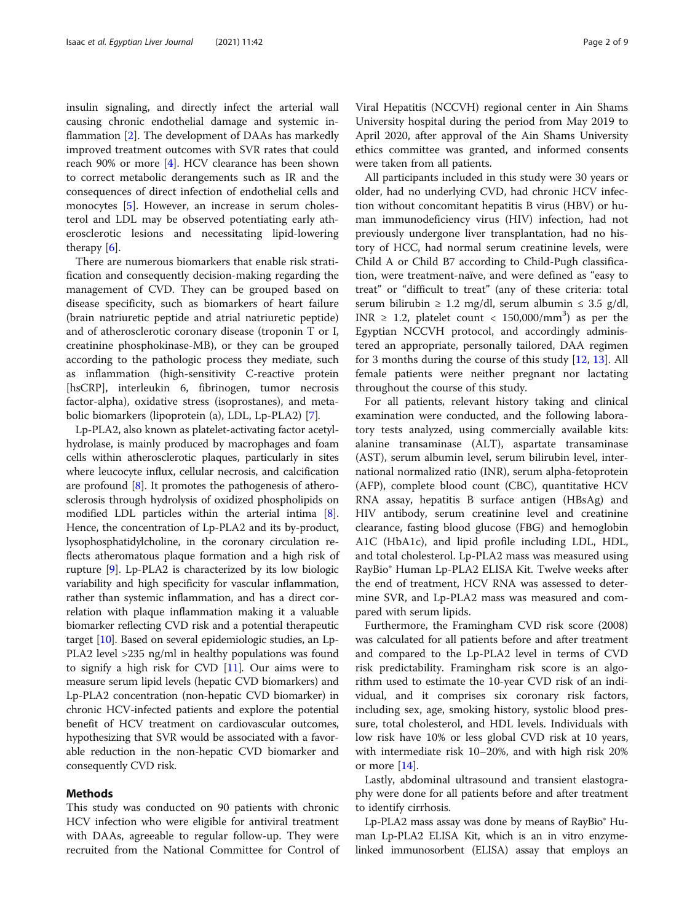insulin signaling, and directly infect the arterial wall causing chronic endothelial damage and systemic inflammation [[2\]](#page-7-0). The development of DAAs has markedly improved treatment outcomes with SVR rates that could reach 90% or more [[4\]](#page-7-0). HCV clearance has been shown to correct metabolic derangements such as IR and the consequences of direct infection of endothelial cells and monocytes [\[5](#page-7-0)]. However, an increase in serum cholesterol and LDL may be observed potentiating early atherosclerotic lesions and necessitating lipid-lowering therapy [\[6](#page-7-0)].

There are numerous biomarkers that enable risk stratification and consequently decision-making regarding the management of CVD. They can be grouped based on disease specificity, such as biomarkers of heart failure (brain natriuretic peptide and atrial natriuretic peptide) and of atherosclerotic coronary disease (troponin T or I, creatinine phosphokinase-MB), or they can be grouped according to the pathologic process they mediate, such as inflammation (high-sensitivity C-reactive protein [hsCRP], interleukin 6, fibrinogen, tumor necrosis factor-alpha), oxidative stress (isoprostanes), and metabolic biomarkers (lipoprotein (a), LDL, Lp-PLA2) [[7\]](#page-7-0).

Lp-PLA2, also known as platelet-activating factor acetylhydrolase, is mainly produced by macrophages and foam cells within atherosclerotic plaques, particularly in sites where leucocyte influx, cellular necrosis, and calcification are profound [[8\]](#page-7-0). It promotes the pathogenesis of atherosclerosis through hydrolysis of oxidized phospholipids on modified LDL particles within the arterial intima [[8](#page-7-0)]. Hence, the concentration of Lp-PLA2 and its by-product, lysophosphatidylcholine, in the coronary circulation reflects atheromatous plaque formation and a high risk of rupture [[9\]](#page-7-0). Lp-PLA2 is characterized by its low biologic variability and high specificity for vascular inflammation, rather than systemic inflammation, and has a direct correlation with plaque inflammation making it a valuable biomarker reflecting CVD risk and a potential therapeutic target [[10](#page-7-0)]. Based on several epidemiologic studies, an Lp-PLA2 level >235 ng/ml in healthy populations was found to signify a high risk for CVD [[11](#page-7-0)]. Our aims were to measure serum lipid levels (hepatic CVD biomarkers) and Lp-PLA2 concentration (non-hepatic CVD biomarker) in chronic HCV-infected patients and explore the potential benefit of HCV treatment on cardiovascular outcomes, hypothesizing that SVR would be associated with a favorable reduction in the non-hepatic CVD biomarker and consequently CVD risk.

## Methods

This study was conducted on 90 patients with chronic HCV infection who were eligible for antiviral treatment with DAAs, agreeable to regular follow-up. They were recruited from the National Committee for Control of

Viral Hepatitis (NCCVH) regional center in Ain Shams University hospital during the period from May 2019 to April 2020, after approval of the Ain Shams University ethics committee was granted, and informed consents were taken from all patients.

All participants included in this study were 30 years or older, had no underlying CVD, had chronic HCV infection without concomitant hepatitis B virus (HBV) or human immunodeficiency virus (HIV) infection, had not previously undergone liver transplantation, had no history of HCC, had normal serum creatinine levels, were Child A or Child B7 according to Child-Pugh classification, were treatment-naïve, and were defined as "easy to treat" or "difficult to treat" (any of these criteria: total serum bilirubin  $\geq 1.2$  mg/dl, serum albumin  $\leq 3.5$  g/dl, INR  $\geq$  1.2, platelet count < 150,000/mm<sup>3</sup>) as per the Egyptian NCCVH protocol, and accordingly administered an appropriate, personally tailored, DAA regimen for 3 months during the course of this study [\[12](#page-7-0), [13](#page-7-0)]. All female patients were neither pregnant nor lactating throughout the course of this study.

For all patients, relevant history taking and clinical examination were conducted, and the following laboratory tests analyzed, using commercially available kits: alanine transaminase (ALT), aspartate transaminase (AST), serum albumin level, serum bilirubin level, international normalized ratio (INR), serum alpha-fetoprotein (AFP), complete blood count (CBC), quantitative HCV RNA assay, hepatitis B surface antigen (HBsAg) and HIV antibody, serum creatinine level and creatinine clearance, fasting blood glucose (FBG) and hemoglobin A1C (HbA1c), and lipid profile including LDL, HDL, and total cholesterol. Lp-PLA2 mass was measured using RayBio® Human Lp-PLA2 ELISA Kit. Twelve weeks after the end of treatment, HCV RNA was assessed to determine SVR, and Lp-PLA2 mass was measured and compared with serum lipids.

Furthermore, the Framingham CVD risk score (2008) was calculated for all patients before and after treatment and compared to the Lp-PLA2 level in terms of CVD risk predictability. Framingham risk score is an algorithm used to estimate the 10-year CVD risk of an individual, and it comprises six coronary risk factors, including sex, age, smoking history, systolic blood pressure, total cholesterol, and HDL levels. Individuals with low risk have 10% or less global CVD risk at 10 years, with intermediate risk 10–20%, and with high risk 20% or more [[14\]](#page-7-0).

Lastly, abdominal ultrasound and transient elastography were done for all patients before and after treatment to identify cirrhosis.

Lp-PLA2 mass assay was done by means of RayBio® Human Lp-PLA2 ELISA Kit, which is an in vitro enzymelinked immunosorbent (ELISA) assay that employs an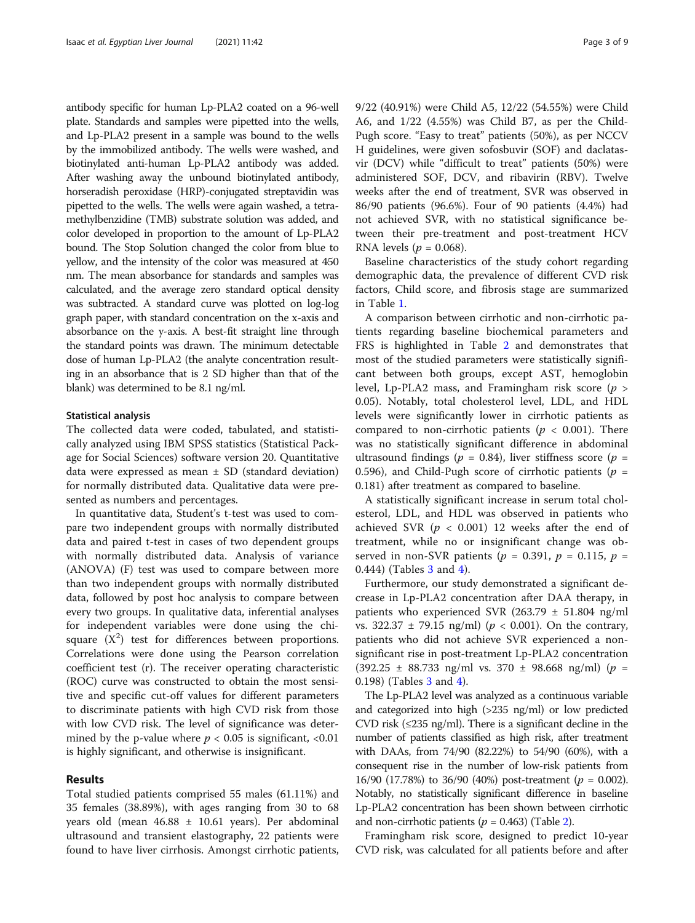antibody specific for human Lp-PLA2 coated on a 96-well plate. Standards and samples were pipetted into the wells, and Lp-PLA2 present in a sample was bound to the wells by the immobilized antibody. The wells were washed, and biotinylated anti-human Lp-PLA2 antibody was added. After washing away the unbound biotinylated antibody, horseradish peroxidase (HRP)-conjugated streptavidin was pipetted to the wells. The wells were again washed, a tetramethylbenzidine (TMB) substrate solution was added, and color developed in proportion to the amount of Lp-PLA2 bound. The Stop Solution changed the color from blue to yellow, and the intensity of the color was measured at 450 nm. The mean absorbance for standards and samples was calculated, and the average zero standard optical density was subtracted. A standard curve was plotted on log-log graph paper, with standard concentration on the x-axis and absorbance on the y-axis. A best-fit straight line through the standard points was drawn. The minimum detectable dose of human Lp-PLA2 (the analyte concentration resulting in an absorbance that is 2 SD higher than that of the blank) was determined to be 8.1 ng/ml.

#### Statistical analysis

The collected data were coded, tabulated, and statistically analyzed using IBM SPSS statistics (Statistical Package for Social Sciences) software version 20. Quantitative data were expressed as mean  $\pm$  SD (standard deviation) for normally distributed data. Qualitative data were presented as numbers and percentages.

In quantitative data, Student's t-test was used to compare two independent groups with normally distributed data and paired t-test in cases of two dependent groups with normally distributed data. Analysis of variance (ANOVA) (F) test was used to compare between more than two independent groups with normally distributed data, followed by post hoc analysis to compare between every two groups. In qualitative data, inferential analyses for independent variables were done using the chisquare  $(X^2)$  test for differences between proportions. Correlations were done using the Pearson correlation coefficient test (r). The receiver operating characteristic (ROC) curve was constructed to obtain the most sensitive and specific cut-off values for different parameters to discriminate patients with high CVD risk from those with low CVD risk. The level of significance was determined by the p-value where  $p < 0.05$  is significant,  $< 0.01$ is highly significant, and otherwise is insignificant.

## Results

Total studied patients comprised 55 males (61.11%) and 35 females (38.89%), with ages ranging from 30 to 68 years old (mean  $46.88 \pm 10.61$  years). Per abdominal ultrasound and transient elastography, 22 patients were found to have liver cirrhosis. Amongst cirrhotic patients, 9/22 (40.91%) were Child A5, 12/22 (54.55%) were Child A6, and 1/22 (4.55%) was Child B7, as per the Child-Pugh score. "Easy to treat" patients (50%), as per NCCV H guidelines, were given sofosbuvir (SOF) and daclatasvir (DCV) while "difficult to treat" patients (50%) were administered SOF, DCV, and ribavirin (RBV). Twelve weeks after the end of treatment, SVR was observed in 86/90 patients (96.6%). Four of 90 patients (4.4%) had not achieved SVR, with no statistical significance between their pre-treatment and post-treatment HCV RNA levels ( $p = 0.068$ ).

Baseline characteristics of the study cohort regarding demographic data, the prevalence of different CVD risk factors, Child score, and fibrosis stage are summarized in Table [1.](#page-3-0)

A comparison between cirrhotic and non-cirrhotic patients regarding baseline biochemical parameters and FRS is highlighted in Table [2](#page-4-0) and demonstrates that most of the studied parameters were statistically significant between both groups, except AST, hemoglobin level, Lp-PLA2 mass, and Framingham risk score ( $p >$ 0.05). Notably, total cholesterol level, LDL, and HDL levels were significantly lower in cirrhotic patients as compared to non-cirrhotic patients ( $p < 0.001$ ). There was no statistically significant difference in abdominal ultrasound findings ( $p = 0.84$ ), liver stiffness score ( $p =$ 0.596), and Child-Pugh score of cirrhotic patients ( $p =$ 0.181) after treatment as compared to baseline.

A statistically significant increase in serum total cholesterol, LDL, and HDL was observed in patients who achieved SVR ( $p < 0.001$ ) 12 weeks after the end of treatment, while no or insignificant change was observed in non-SVR patients ( $p = 0.391$ ,  $p = 0.115$ ,  $p =$ 0.444) (Tables [3](#page-4-0) and [4\)](#page-5-0).

Furthermore, our study demonstrated a significant decrease in Lp-PLA2 concentration after DAA therapy, in patients who experienced SVR (263.79  $\pm$  51.804 ng/ml vs. 322.37  $\pm$  79.15 ng/ml) ( $p < 0.001$ ). On the contrary, patients who did not achieve SVR experienced a nonsignificant rise in post-treatment Lp-PLA2 concentration  $(392.25 \pm 88.733 \text{ ng/ml vs. } 370 \pm 98.668 \text{ ng/ml})$  ( $p =$ 0.198) (Tables [3](#page-4-0) and [4](#page-5-0)).

The Lp-PLA2 level was analyzed as a continuous variable and categorized into high (>235 ng/ml) or low predicted CVD risk  $(\leq 235 \text{ ng/ml})$ . There is a significant decline in the number of patients classified as high risk, after treatment with DAAs, from 74/90 (82.22%) to 54/90 (60%), with a consequent rise in the number of low-risk patients from 16/90 (17.78%) to 36/90 (40%) post-treatment ( $p = 0.002$ ). Notably, no statistically significant difference in baseline Lp-PLA2 concentration has been shown between cirrhotic and non-cirrhotic patients ( $p = 0.463$ ) (Table [2](#page-4-0)).

Framingham risk score, designed to predict 10-year CVD risk, was calculated for all patients before and after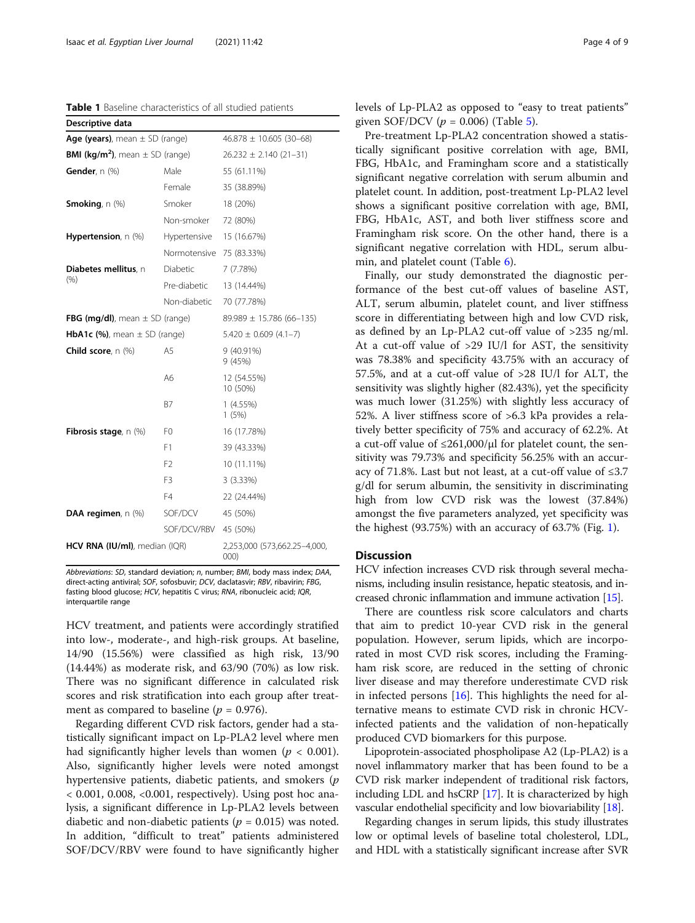<span id="page-3-0"></span>Table 1 Baseline characteristics of all studied patients

| Descriptive data                                      |                          |                                      |  |  |  |
|-------------------------------------------------------|--------------------------|--------------------------------------|--|--|--|
| Age (years), mean $\pm$ SD (range)                    |                          | $46.878 \pm 10.605$ (30-68)          |  |  |  |
| <b>BMI (kg/m<sup>2</sup>)</b> , mean $\pm$ SD (range) |                          | $26.232 \pm 2.140(21-31)$            |  |  |  |
| Gender, $n$ $(\%)$                                    | Male                     | 55 (61.11%)                          |  |  |  |
|                                                       | Female                   | 35 (38.89%)                          |  |  |  |
| <b>Smoking</b> , $n$ $(\%)$                           | Smoker                   | 18 (20%)                             |  |  |  |
|                                                       | Non-smoker               | 72 (80%)                             |  |  |  |
| <b>Hypertension</b> , $n$ (%)                         | Hypertensive             | 15 (16.67%)                          |  |  |  |
|                                                       | Normotensive 75 (83.33%) |                                      |  |  |  |
| Diabetes mellitus, n                                  | Diabetic                 | 7(7.78%)                             |  |  |  |
| (% )                                                  | Pre-diabetic             | 13 (14.44%)                          |  |  |  |
|                                                       | Non-diabetic             | 70 (77.78%)                          |  |  |  |
| FBG (mg/dl), mean $\pm$ SD (range)                    |                          | $89.989 \pm 15.786 (66 - 135)$       |  |  |  |
| <b>HbA1c (%)</b> , mean $\pm$ SD (range)              |                          | $5.420 \pm 0.609$ (4.1-7)            |  |  |  |
| <b>Child score</b> , $n$ $(\%)$                       | A5                       | 9 (40.91%)<br>9 (45%)                |  |  |  |
|                                                       | A6                       | 12 (54.55%)<br>10 (50%)              |  |  |  |
|                                                       | <b>B7</b>                | 1(4.55%)<br>1(5%)                    |  |  |  |
| <b>Fibrosis stage</b> , $n$ (%)                       | F <sub>0</sub>           | 16 (17.78%)                          |  |  |  |
|                                                       | F1                       | 39 (43.33%)                          |  |  |  |
|                                                       | F <sub>2</sub>           | 10 (11.11%)                          |  |  |  |
|                                                       | F <sub>3</sub>           | 3 (3.33%)                            |  |  |  |
|                                                       | F4                       | 22 (24.44%)                          |  |  |  |
| DAA regimen, n (%)                                    | SOF/DCV                  | 45 (50%)                             |  |  |  |
|                                                       | SOF/DCV/RBV              | 45 (50%)                             |  |  |  |
| HCV RNA (IU/ml), median (IQR)                         |                          | 2,253,000 (573,662.25-4,000,<br>000) |  |  |  |

Abbreviations: SD, standard deviation; n, number; BMI, body mass index; DAA, direct-acting antiviral; SOF, sofosbuvir; DCV, daclatasvir; RBV, ribavirin; FBG, fasting blood glucose; HCV, hepatitis C virus; RNA, ribonucleic acid; IQR, interquartile range

HCV treatment, and patients were accordingly stratified into low-, moderate-, and high-risk groups. At baseline, 14/90 (15.56%) were classified as high risk, 13/90 (14.44%) as moderate risk, and 63/90 (70%) as low risk. There was no significant difference in calculated risk scores and risk stratification into each group after treatment as compared to baseline ( $p = 0.976$ ).

Regarding different CVD risk factors, gender had a statistically significant impact on Lp-PLA2 level where men had significantly higher levels than women ( $p < 0.001$ ). Also, significantly higher levels were noted amongst hypertensive patients, diabetic patients, and smokers (*p* < 0.001, 0.008, <0.001, respectively). Using post hoc analysis, a significant difference in Lp-PLA2 levels between diabetic and non-diabetic patients ( $p = 0.015$ ) was noted. In addition, "difficult to treat" patients administered SOF/DCV/RBV were found to have significantly higher levels of Lp-PLA2 as opposed to "easy to treat patients" given SOF/DCV ( $p = 0.006$ ) (Table [5\)](#page-5-0).

Pre-treatment Lp-PLA2 concentration showed a statistically significant positive correlation with age, BMI, FBG, HbA1c, and Framingham score and a statistically significant negative correlation with serum albumin and platelet count. In addition, post-treatment Lp-PLA2 level shows a significant positive correlation with age, BMI, FBG, HbA1c, AST, and both liver stiffness score and Framingham risk score. On the other hand, there is a significant negative correlation with HDL, serum albumin, and platelet count (Table [6](#page-6-0)).

Finally, our study demonstrated the diagnostic performance of the best cut-off values of baseline AST, ALT, serum albumin, platelet count, and liver stiffness score in differentiating between high and low CVD risk, as defined by an Lp-PLA2 cut-off value of >235 ng/ml. At a cut-off value of >29 IU/l for AST, the sensitivity was 78.38% and specificity 43.75% with an accuracy of 57.5%, and at a cut-off value of >28 IU/l for ALT, the sensitivity was slightly higher (82.43%), yet the specificity was much lower (31.25%) with slightly less accuracy of 52%. A liver stiffness score of >6.3 kPa provides a relatively better specificity of 75% and accuracy of 62.2%. At a cut-off value of  $\leq 261,000/\mu$  for platelet count, the sensitivity was 79.73% and specificity 56.25% with an accuracy of 71.8%. Last but not least, at a cut-off value of ≤3.7 g/dl for serum albumin, the sensitivity in discriminating high from low CVD risk was the lowest (37.84%) amongst the five parameters analyzed, yet specificity was the highest (93.75%) with an accuracy of 63.7% (Fig. [1\)](#page-6-0).

# **Discussion**

HCV infection increases CVD risk through several mechanisms, including insulin resistance, hepatic steatosis, and increased chronic inflammation and immune activation [[15](#page-7-0)].

There are countless risk score calculators and charts that aim to predict 10-year CVD risk in the general population. However, serum lipids, which are incorporated in most CVD risk scores, including the Framingham risk score, are reduced in the setting of chronic liver disease and may therefore underestimate CVD risk in infected persons [\[16\]](#page-7-0). This highlights the need for alternative means to estimate CVD risk in chronic HCVinfected patients and the validation of non-hepatically produced CVD biomarkers for this purpose.

Lipoprotein-associated phospholipase A2 (Lp-PLA2) is a novel inflammatory marker that has been found to be a CVD risk marker independent of traditional risk factors, including LDL and hsCRP [[17](#page-7-0)]. It is characterized by high vascular endothelial specificity and low biovariability [[18](#page-7-0)].

Regarding changes in serum lipids, this study illustrates low or optimal levels of baseline total cholesterol, LDL, and HDL with a statistically significant increase after SVR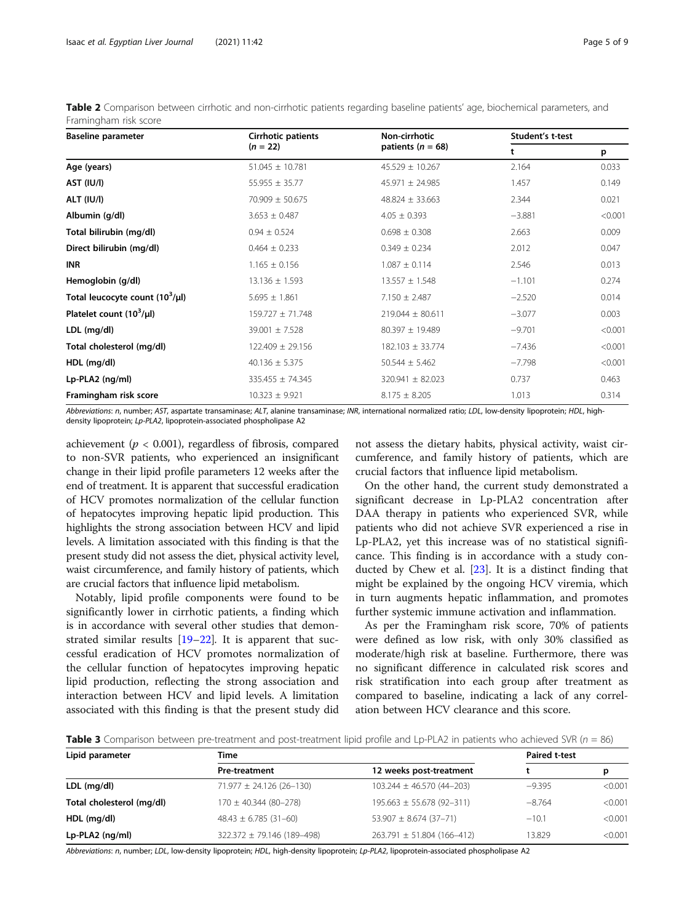| <b>Baseline parameter</b>            | Cirrhotic patients   | Non-cirrhotic         | Student's t-test |         |
|--------------------------------------|----------------------|-----------------------|------------------|---------|
|                                      | $(n = 22)$           | patients ( $n = 68$ ) | t                | p       |
| Age (years)                          | $51.045 \pm 10.781$  | $45.529 \pm 10.267$   | 2.164            | 0.033   |
| AST (IU/I)                           | $55.955 \pm 35.77$   | $45.971 \pm 24.985$   | 1.457            | 0.149   |
| ALT (IU/I)                           | $70.909 \pm 50.675$  | $48.824 \pm 33.663$   | 2.344            | 0.021   |
| Albumin (g/dl)                       | $3.653 \pm 0.487$    | $4.05 \pm 0.393$      | $-3.881$         | < 0.001 |
| Total bilirubin (mg/dl)              | $0.94 \pm 0.524$     | $0.698 \pm 0.308$     | 2.663            | 0.009   |
| Direct bilirubin (mg/dl)             | $0.464 \pm 0.233$    | $0.349 \pm 0.234$     | 2.012            | 0.047   |
| <b>INR</b>                           | $1.165 \pm 0.156$    | $1.087 \pm 0.114$     | 2.546            | 0.013   |
| Hemoglobin (g/dl)                    | $13.136 \pm 1.593$   | $13.557 \pm 1.548$    | $-1.101$         | 0.274   |
| Total leucocyte count $(10^3/\mu l)$ | $5.695 \pm 1.861$    | $7.150 \pm 2.487$     | $-2.520$         | 0.014   |
| Platelet count $(10^3/\mu l)$        | $159.727 \pm 71.748$ | $219.044 \pm 80.611$  | $-3.077$         | 0.003   |
| LDL (mg/dl)                          | $39.001 \pm 7.528$   | 80.397 ± 19.489       | $-9.701$         | < 0.001 |
| Total cholesterol (mg/dl)            | $122.409 \pm 29.156$ | 182.103 ± 33.774      | $-7.436$         | < 0.001 |
| HDL (mg/dl)                          | $40.136 \pm 5.375$   | $50.544 \pm 5.462$    | $-7.798$         | < 0.001 |
| Lp-PLA2 (ng/ml)                      | 335.455 ± 74.345     | 320.941 ± 82.023      | 0.737            | 0.463   |
| Framingham risk score                | $10.323 \pm 9.921$   | $8.175 \pm 8.205$     | 1.013            | 0.314   |

<span id="page-4-0"></span>Table 2 Comparison between cirrhotic and non-cirrhotic patients regarding baseline patients' age, biochemical parameters, and Framingham risk score

Abbreviations: n, number; AST, aspartate transaminase; ALT, alanine transaminase; INR, international normalized ratio; LDL, low-density lipoprotein; HDL, highdensity lipoprotein; Lp-PLA2, lipoprotein-associated phospholipase A2

achievement ( $p < 0.001$ ), regardless of fibrosis, compared to non-SVR patients, who experienced an insignificant change in their lipid profile parameters 12 weeks after the end of treatment. It is apparent that successful eradication of HCV promotes normalization of the cellular function of hepatocytes improving hepatic lipid production. This highlights the strong association between HCV and lipid levels. A limitation associated with this finding is that the present study did not assess the diet, physical activity level, waist circumference, and family history of patients, which are crucial factors that influence lipid metabolism.

Notably, lipid profile components were found to be significantly lower in cirrhotic patients, a finding which is in accordance with several other studies that demonstrated similar results [[19](#page-7-0)–[22](#page-8-0)]. It is apparent that successful eradication of HCV promotes normalization of the cellular function of hepatocytes improving hepatic lipid production, reflecting the strong association and interaction between HCV and lipid levels. A limitation associated with this finding is that the present study did

not assess the dietary habits, physical activity, waist circumference, and family history of patients, which are crucial factors that influence lipid metabolism.

On the other hand, the current study demonstrated a significant decrease in Lp-PLA2 concentration after DAA therapy in patients who experienced SVR, while patients who did not achieve SVR experienced a rise in Lp-PLA2, yet this increase was of no statistical significance. This finding is in accordance with a study conducted by Chew et al. [\[23\]](#page-8-0). It is a distinct finding that might be explained by the ongoing HCV viremia, which in turn augments hepatic inflammation, and promotes further systemic immune activation and inflammation.

As per the Framingham risk score, 70% of patients were defined as low risk, with only 30% classified as moderate/high risk at baseline. Furthermore, there was no significant difference in calculated risk scores and risk stratification into each group after treatment as compared to baseline, indicating a lack of any correlation between HCV clearance and this score.

Table 3 Comparison between pre-treatment and post-treatment lipid profile and Lp-PLA2 in patients who achieved SVR ( $n = 86$ )

| Lipid parameter           | Гіmе                             | <b>Paired t-test</b>             |          |         |
|---------------------------|----------------------------------|----------------------------------|----------|---------|
|                           | <b>Pre-treatment</b>             | 12 weeks post-treatment          |          | р       |
| LDL (mg/dl)               | $71.977 \pm 24.126$ (26-130)     | $103.244 \pm 46.570(44 - 203)$   | $-9.395$ | < 0.001 |
| Total cholesterol (mg/dl) | $170 \pm 40.344$ (80-278)        | $195.663 \pm 55.678 (92 - 311)$  | $-8.764$ | < 0.001 |
| HDL (mg/dl)               | $48.43 \pm 6.785(31-60)$         | $53.907 \pm 8.674 (37 - 71)$     | $-10.1$  | < 0.001 |
| $Lp-PLA2$ (ng/ml)         | $322.372 \pm 79.146 (189 - 498)$ | $263.791 \pm 51.804 (166 - 412)$ | 13.829   | < 0.001 |

Abbreviations: n, number; LDL, low-density lipoprotein; HDL, high-density lipoprotein; Lp-PLA2, lipoprotein-associated phospholipase A2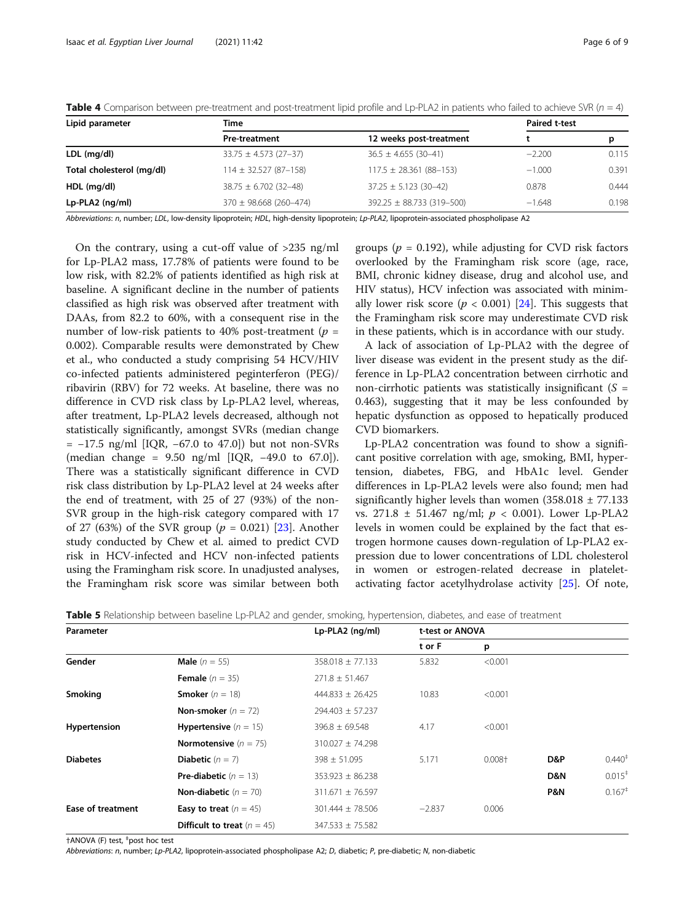| Lipid parameter                                 | Time                       | <b>Paired t-test</b>           |          |       |
|-------------------------------------------------|----------------------------|--------------------------------|----------|-------|
|                                                 | <b>Pre-treatment</b>       | 12 weeks post-treatment        |          | р     |
| LDL (mg/dl)                                     | $33.75 \pm 4.573$ (27-37)  | $36.5 \pm 4.655$ (30-41)       | $-2.200$ | 0.115 |
| Total cholesterol (mg/dl)                       | $114 \pm 32.527(87-158)$   | $117.5 \pm 28.361 (88 - 153)$  | $-1.000$ | 0.391 |
| HDL (mg/dl)                                     | $38.75 \pm 6.702$ (32-48)  | $37.25 \pm 5.123(30-42)$       | 0.878    | 0.444 |
| Lp-PLA2 (ng/ml)                                 | $370 \pm 98.668$ (260-474) | $392.25 \pm 88.733(319 - 500)$ | $-1.648$ | 0.198 |
| $\cdot$ $\cdot$ $\cdot$ $\cdot$ $\cdot$ $\cdot$ | .                          |                                |          |       |

<span id="page-5-0"></span>**Table 4** Comparison between pre-treatment and post-treatment lipid profile and Lp-PLA2 in patients who failed to achieve SVR ( $n = 4$ )

Abbreviations: n, number; LDL, low-density lipoprotein; HDL, high-density lipoprotein; Lp-PLA2, lipoprotein-associated phospholipase A2

On the contrary, using a cut-off value of >235 ng/ml for Lp-PLA2 mass, 17.78% of patients were found to be low risk, with 82.2% of patients identified as high risk at baseline. A significant decline in the number of patients classified as high risk was observed after treatment with DAAs, from 82.2 to 60%, with a consequent rise in the number of low-risk patients to 40% post-treatment ( $p =$ 0.002). Comparable results were demonstrated by Chew et al., who conducted a study comprising 54 HCV/HIV co-infected patients administered peginterferon (PEG)/ ribavirin (RBV) for 72 weeks. At baseline, there was no difference in CVD risk class by Lp-PLA2 level, whereas, after treatment, Lp-PLA2 levels decreased, although not statistically significantly, amongst SVRs (median change = −17.5 ng/ml [IQR, −67.0 to 47.0]) but not non-SVRs (median change = 9.50 ng/ml [IQR, −49.0 to 67.0]). There was a statistically significant difference in CVD risk class distribution by Lp-PLA2 level at 24 weeks after the end of treatment, with 25 of 27 (93%) of the non-SVR group in the high-risk category compared with 17 of 27 (63%) of the SVR group ( $p = 0.021$ ) [[23\]](#page-8-0). Another study conducted by Chew et al. aimed to predict CVD risk in HCV-infected and HCV non-infected patients using the Framingham risk score. In unadjusted analyses, the Framingham risk score was similar between both

groups ( $p = 0.192$ ), while adjusting for CVD risk factors overlooked by the Framingham risk score (age, race, BMI, chronic kidney disease, drug and alcohol use, and HIV status), HCV infection was associated with minimally lower risk score ( $p < 0.001$ ) [[24](#page-8-0)]. This suggests that the Framingham risk score may underestimate CVD risk in these patients, which is in accordance with our study.

A lack of association of Lp-PLA2 with the degree of liver disease was evident in the present study as the difference in Lp-PLA2 concentration between cirrhotic and non-cirrhotic patients was statistically insignificant  $(S =$ 0.463), suggesting that it may be less confounded by hepatic dysfunction as opposed to hepatically produced CVD biomarkers.

Lp-PLA2 concentration was found to show a significant positive correlation with age, smoking, BMI, hypertension, diabetes, FBG, and HbA1c level. Gender differences in Lp-PLA2 levels were also found; men had significantly higher levels than women  $(358.018 \pm 77.133)$ vs. 271.8  $\pm$  51.467 ng/ml;  $p < 0.001$ ). Lower Lp-PLA2 levels in women could be explained by the fact that estrogen hormone causes down-regulation of Lp-PLA2 expression due to lower concentrations of LDL cholesterol in women or estrogen-related decrease in plateletactivating factor acetylhydrolase activity [\[25\]](#page-8-0). Of note,

Table 5 Relationship between baseline Lp-PLA2 and gender, smoking, hypertension, diabetes, and ease of treatment

| Parameter                |                                      | Lp-PLA2 (ng/ml)      | t-test or ANOVA |          |                |                      |
|--------------------------|--------------------------------------|----------------------|-----------------|----------|----------------|----------------------|
|                          |                                      |                      | t or F          | p        |                |                      |
| Gender                   | <b>Male</b> ( $n = 55$ )             | $358.018 \pm 77.133$ | 5.832           | < 0.001  |                |                      |
|                          | <b>Female</b> $(n = 35)$             | $271.8 \pm 51.467$   |                 |          |                |                      |
| Smoking                  | <b>Smoker</b> $(n = 18)$             | $444.833 \pm 26.425$ | 10.83           | < 0.001  |                |                      |
|                          | <b>Non-smoker</b> $(n = 72)$         | $294.403 \pm 57.237$ |                 |          |                |                      |
| Hypertension             | <b>Hypertensive</b> $(n = 15)$       | $396.8 \pm 69.548$   | 4.17            | < 0.001  |                |                      |
|                          | <b>Normotensive</b> $(n = 75)$       | $310.027 \pm 74.298$ |                 |          |                |                      |
| <b>Diabetes</b>          | <b>Diabetic</b> $(n = 7)$            | $398 \pm 51.095$     | 5.171           | $0.008+$ | D&P            | $0.440^{+}$          |
|                          | <b>Pre-diabetic</b> $(n = 13)$       | $353.923 \pm 86.238$ |                 |          | D&N            | $0.015$ <sup>+</sup> |
|                          | <b>Non-diabetic</b> $(n = 70)$       | $311.671 \pm 76.597$ |                 |          | <b>P&amp;N</b> | $0.167$ <sup>+</sup> |
| <b>Ease of treatment</b> | <b>Easy to treat</b> $(n = 45)$      | $301.444 \pm 78.506$ | $-2.837$        | 0.006    |                |                      |
|                          | <b>Difficult to treat</b> $(n = 45)$ | $347.533 \pm 75.582$ |                 |          |                |                      |

†ANOVA (F) test, ‡ post hoc test

Abbreviations: n, number; Lp-PLA2, lipoprotein-associated phospholipase A2; D, diabetic; P, pre-diabetic; N, non-diabetic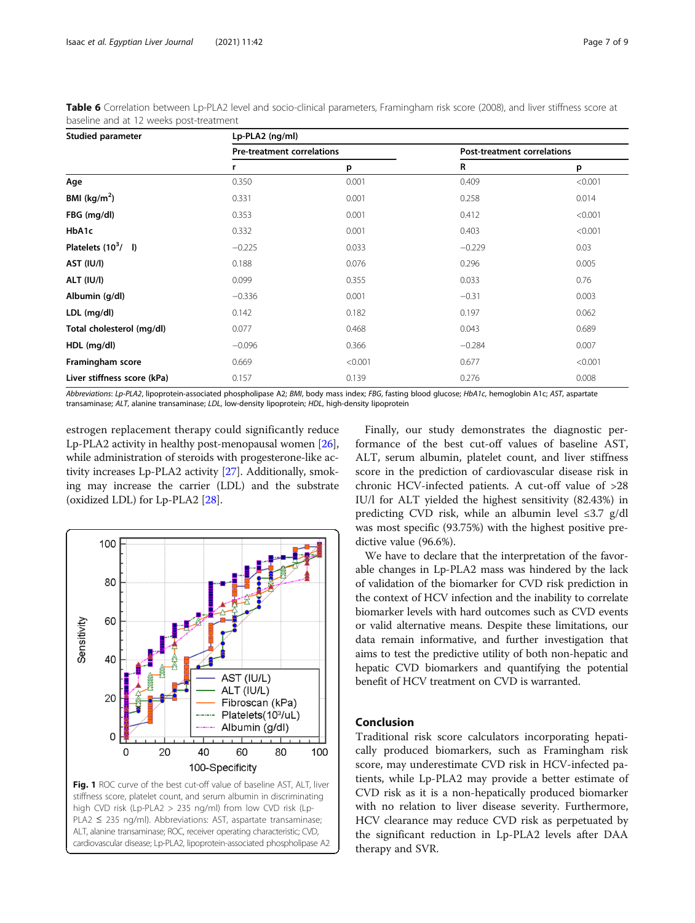| Studied parameter           | Lp-PLA2 (ng/ml) |                                   |          |                             |  |
|-----------------------------|-----------------|-----------------------------------|----------|-----------------------------|--|
|                             |                 | <b>Pre-treatment correlations</b> |          | Post-treatment correlations |  |
|                             | r               | p                                 | R        | p                           |  |
| Age                         | 0.350           | 0.001                             | 0.409    | < 0.001                     |  |
| BMI ( $\text{kg/m}^2$ )     | 0.331           | 0.001                             | 0.258    | 0.014                       |  |
| FBG (mg/dl)                 | 0.353           | 0.001                             | 0.412    | < 0.001                     |  |
| HbA1c                       | 0.332           | 0.001                             | 0.403    | < 0.001                     |  |
| Platelets $(10^3/$ I)       | $-0.225$        | 0.033                             | $-0.229$ | 0.03                        |  |
| AST (IU/I)                  | 0.188           | 0.076                             | 0.296    | 0.005                       |  |
| ALT (IU/I)                  | 0.099           | 0.355                             | 0.033    | 0.76                        |  |
| Albumin (g/dl)              | $-0.336$        | 0.001                             | $-0.31$  | 0.003                       |  |
| LDL (mg/dl)                 | 0.142           | 0.182                             | 0.197    | 0.062                       |  |
| Total cholesterol (mg/dl)   | 0.077           | 0.468                             | 0.043    | 0.689                       |  |
| HDL (mg/dl)                 | $-0.096$        | 0.366                             | $-0.284$ | 0.007                       |  |
| Framingham score            | 0.669           | < 0.001                           | 0.677    | < 0.001                     |  |
| Liver stiffness score (kPa) | 0.157           | 0.139                             | 0.276    | 0.008                       |  |

<span id="page-6-0"></span>Table 6 Correlation between Lp-PLA2 level and socio-clinical parameters, Framingham risk score (2008), and liver stiffness score at baseline and at 12 weeks post-treatment

Abbreviations: Lp-PLA2, lipoprotein-associated phospholipase A2; BMI, body mass index; FBG, fasting blood glucose; HbA1c, hemoglobin A1c; AST, aspartate transaminase; ALT, alanine transaminase; LDL, low-density lipoprotein; HDL, high-density lipoprotein

estrogen replacement therapy could significantly reduce Lp-PLA2 activity in healthy post-menopausal women [[26](#page-8-0)], while administration of steroids with progesterone-like activity increases Lp-PLA2 activity [\[27\]](#page-8-0). Additionally, smoking may increase the carrier (LDL) and the substrate (oxidized LDL) for Lp-PLA2 [[28](#page-8-0)].



cardiovascular disease; Lp-PLA2, lipoprotein-associated phospholipase A2

Finally, our study demonstrates the diagnostic performance of the best cut-off values of baseline AST, ALT, serum albumin, platelet count, and liver stiffness score in the prediction of cardiovascular disease risk in chronic HCV-infected patients. A cut-off value of >28 IU/l for ALT yielded the highest sensitivity (82.43%) in predicting CVD risk, while an albumin level  $\leq 3.7$  g/dl was most specific (93.75%) with the highest positive predictive value (96.6%).

We have to declare that the interpretation of the favorable changes in Lp-PLA2 mass was hindered by the lack of validation of the biomarker for CVD risk prediction in the context of HCV infection and the inability to correlate biomarker levels with hard outcomes such as CVD events or valid alternative means. Despite these limitations, our data remain informative, and further investigation that aims to test the predictive utility of both non-hepatic and hepatic CVD biomarkers and quantifying the potential benefit of HCV treatment on CVD is warranted.

## Conclusion

Traditional risk score calculators incorporating hepatically produced biomarkers, such as Framingham risk score, may underestimate CVD risk in HCV-infected patients, while Lp-PLA2 may provide a better estimate of CVD risk as it is a non-hepatically produced biomarker with no relation to liver disease severity. Furthermore, HCV clearance may reduce CVD risk as perpetuated by the significant reduction in Lp-PLA2 levels after DAA therapy and SVR.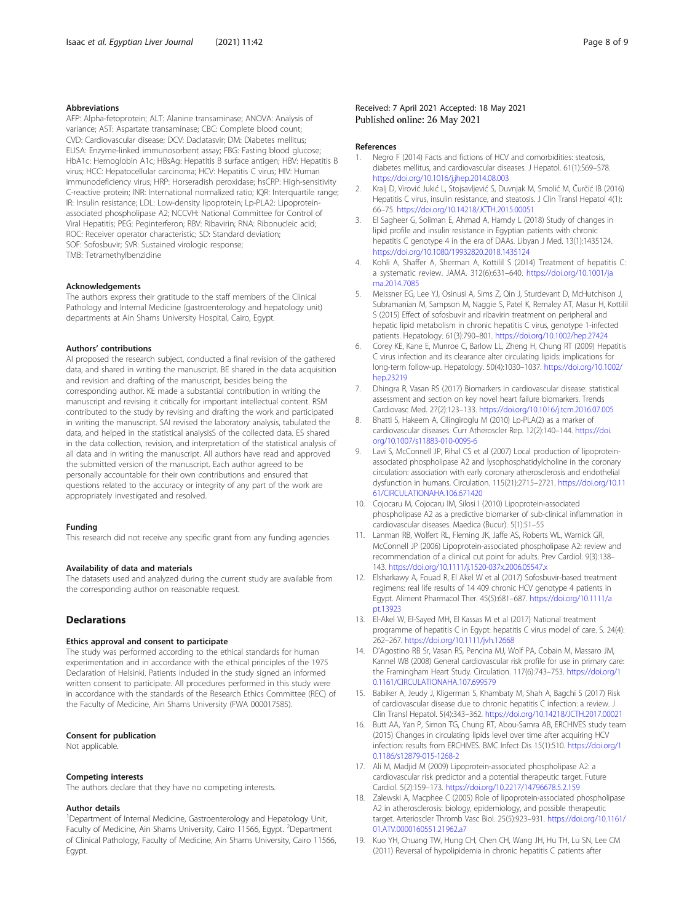#### <span id="page-7-0"></span>Abbreviations

AFP: Alpha-fetoprotein; ALT: Alanine transaminase; ANOVA: Analysis of variance; AST: Aspartate transaminase; CBC: Complete blood count; CVD: Cardiovascular disease; DCV: Daclatasvir; DM: Diabetes mellitus; ELISA: Enzyme-linked immunosorbent assay; FBG: Fasting blood glucose; HbA1c: Hemoglobin A1c; HBsAg: Hepatitis B surface antigen; HBV: Hepatitis B virus; HCC: Hepatocellular carcinoma; HCV: Hepatitis C virus; HIV: Human immunodeficiency virus; HRP: Horseradish peroxidase; hsCRP: High-sensitivity C-reactive protein; INR: International normalized ratio; IQR: Interquartile range; IR: Insulin resistance; LDL: Low-density lipoprotein; Lp-PLA2: Lipoproteinassociated phospholipase A2; NCCVH: National Committee for Control of Viral Hepatitis; PEG: Peginterferon; RBV: Ribavirin; RNA: Ribonucleic acid; ROC: Receiver operator characteristic; SD: Standard deviation; SOF: Sofosbuvir; SVR: Sustained virologic response; TMB: Tetramethylbenzidine

#### Acknowledgements

The authors express their gratitude to the staff members of the Clinical Pathology and Internal Medicine (gastroenterology and hepatology unit) departments at Ain Shams University Hospital, Cairo, Egypt.

#### Authors' contributions

AI proposed the research subject, conducted a final revision of the gathered data, and shared in writing the manuscript. BE shared in the data acquisition and revision and drafting of the manuscript, besides being the corresponding author. KE made a substantial contribution in writing the manuscript and revising it critically for important intellectual content. RSM contributed to the study by revising and drafting the work and participated in writing the manuscript. SAI revised the laboratory analysis, tabulated the data, and helped in the statistical analysisS of the collected data. ES shared in the data collection, revision, and interpretation of the statistical analysis of all data and in writing the manuscript. All authors have read and approved the submitted version of the manuscript. Each author agreed to be personally accountable for their own contributions and ensured that questions related to the accuracy or integrity of any part of the work are appropriately investigated and resolved.

#### Funding

This research did not receive any specific grant from any funding agencies.

#### Availability of data and materials

The datasets used and analyzed during the current study are available from the corresponding author on reasonable request.

## **Declarations**

#### Ethics approval and consent to participate

The study was performed according to the ethical standards for human experimentation and in accordance with the ethical principles of the 1975 Declaration of Helsinki. Patients included in the study signed an informed written consent to participate. All procedures performed in this study were in accordance with the standards of the Research Ethics Committee (REC) of the Faculty of Medicine, Ain Shams University (FWA 000017585).

#### Consent for publication

Not applicable.

#### Competing interests

The authors declare that they have no competing interests.

#### Author details

<sup>1</sup>Department of Internal Medicine, Gastroenterology and Hepatology Unit, Faculty of Medicine, Ain Shams University, Cairo 11566, Egypt. <sup>2</sup>Department of Clinical Pathology, Faculty of Medicine, Ain Shams University, Cairo 11566, Egypt.

#### Received: 7 April 2021 Accepted: 18 May 2021 Published online: 26 May 2021

#### References

- 1. Negro F (2014) Facts and fictions of HCV and comorbidities: steatosis, diabetes mellitus, and cardiovascular diseases. J Hepatol. 61(1):S69–S78. <https://doi.org/10.1016/j.jhep.2014.08.003>
- 2. Kralj D, Virović Jukić L, Stojsavljević S, Duvnjak M, Smolić M, Čurčić IB (2016) Hepatitis C virus, insulin resistance, and steatosis. J Clin Transl Hepatol 4(1): 66–75. <https://doi.org/10.14218/JCTH.2015.00051>
- 3. El Sagheer G, Soliman E, Ahmad A, Hamdy L (2018) Study of changes in lipid profile and insulin resistance in Egyptian patients with chronic hepatitis C genotype 4 in the era of DAAs. Libyan J Med. 13(1):1435124. <https://doi.org/10.1080/19932820.2018.1435124>
- 4. Kohli A, Shaffer A, Sherman A, Kottilil S (2014) Treatment of hepatitis C: a systematic review. JAMA. 312(6):631–640. [https://doi.org/10.1001/ja](https://doi.org/10.1001/jama.2014.7085) ma.2014.708<sup>6</sup>
- 5. Meissner EG, Lee YJ, Osinusi A, Sims Z, Qin J, Sturdevant D, McHutchison J, Subramanian M, Sampson M, Naggie S, Patel K, Remaley AT, Masur H, Kottilil S (2015) Effect of sofosbuvir and ribavirin treatment on peripheral and hepatic lipid metabolism in chronic hepatitis C virus, genotype 1-infected patients. Hepatology. 61(3):790–801. <https://doi.org/10.1002/hep.27424>
- 6. Corey KE, Kane E, Munroe C, Barlow LL, Zheng H, Chung RT (2009) Hepatitis C virus infection and its clearance alter circulating lipids: implications for long-term follow-up. Hepatology. 50(4):1030–1037. [https://doi.org/10.1002/](https://doi.org/10.1002/hep.23219) [hep.23219](https://doi.org/10.1002/hep.23219)
- 7. Dhingra R, Vasan RS (2017) Biomarkers in cardiovascular disease: statistical assessment and section on key novel heart failure biomarkers. Trends Cardiovasc Med. 27(2):123–133. <https://doi.org/10.1016/j.tcm.2016.07.005>
- 8. Bhatti S, Hakeem A, Cilingiroglu M (2010) Lp-PLA(2) as a marker of cardiovascular diseases. Curr Atheroscler Rep. 12(2):140–144. [https://doi.](https://doi.org/10.1007/s11883-010-0095-6) [org/10.1007/s11883-010-0095-6](https://doi.org/10.1007/s11883-010-0095-6)
- 9. Lavi S, McConnell JP, Rihal CS et al (2007) Local production of lipoproteinassociated phospholipase A2 and lysophosphatidylcholine in the coronary circulation: association with early coronary atherosclerosis and endothelial dysfunction in humans. Circulation. 115(21):2715–2721. [https://doi.org/10.11](https://doi.org/10.1161/CIRCULATIONAHA.106.671420) [61/CIRCULATIONAHA.106.671420](https://doi.org/10.1161/CIRCULATIONAHA.106.671420)
- 10. Cojocaru M, Cojocaru IM, Silosi I (2010) Lipoprotein-associated phospholipase A2 as a predictive biomarker of sub-clinical inflammation in cardiovascular diseases. Maedica (Bucur). 5(1):51–55
- 11. Lanman RB, Wolfert RL, Fleming JK, Jaffe AS, Roberts WL, Warnick GR, McConnell JP (2006) Lipoprotein-associated phospholipase A2: review and recommendation of a clinical cut point for adults. Prev Cardiol. 9(3):138– 143. <https://doi.org/10.1111/j.1520-037x.2006.05547.x>
- 12. Elsharkawy A, Fouad R, El Akel W et al (2017) Sofosbuvir-based treatment regimens: real life results of 14 409 chronic HCV genotype 4 patients in Egypt. Aliment Pharmacol Ther. 45(5):681–687. [https://doi.org/10.1111/a](https://doi.org/10.1111/apt.13923) [pt.13923](https://doi.org/10.1111/apt.13923)
- 13. El-Akel W, El-Sayed MH, El Kassas M et al (2017) National treatment programme of hepatitis C in Egypt: hepatitis C virus model of care. S. 24(4): 262–267. <https://doi.org/10.1111/jvh.12668>
- 14. D'Agostino RB Sr, Vasan RS, Pencina MJ, Wolf PA, Cobain M, Massaro JM, Kannel WB (2008) General cardiovascular risk profile for use in primary care: the Framingham Heart Study. Circulation. 117(6):743–753. [https://doi.org/1](https://doi.org/10.1161/CIRCULATIONAHA.107.699579) [0.1161/CIRCULATIONAHA.107.699579](https://doi.org/10.1161/CIRCULATIONAHA.107.699579)
- 15. Babiker A, Jeudy J, Kligerman S, Khambaty M, Shah A, Bagchi S (2017) Risk of cardiovascular disease due to chronic hepatitis C infection: a review. J Clin Transl Hepatol. 5(4):343–362. <https://doi.org/10.14218/JCTH.2017.00021>
- 16. Butt AA, Yan P, Simon TG, Chung RT, Abou-Samra AB, ERCHIVES study team (2015) Changes in circulating lipids level over time after acquiring HCV infection: results from ERCHIVES. BMC Infect Dis 15(1):510. [https://doi.org/1](https://doi.org/10.1186/s12879-015-1268-2) [0.1186/s12879-015-1268-2](https://doi.org/10.1186/s12879-015-1268-2)
- 17. Ali M, Madjid M (2009) Lipoprotein-associated phospholipase A2: a cardiovascular risk predictor and a potential therapeutic target. Future Cardiol. 5(2):159–173. <https://doi.org/10.2217/14796678.5.2.159>
- 18. Zalewski A, Macphee C (2005) Role of lipoprotein-associated phospholipase A2 in atherosclerosis: biology, epidemiology, and possible therapeutic target. Arterioscler Thromb Vasc Biol. 25(5):923–931. [https://doi.org/10.1161/](https://doi.org/10.1161/01.ATV.0000160551.21962.a7) [01.ATV.0000160551.21962.a7](https://doi.org/10.1161/01.ATV.0000160551.21962.a7)
- 19. Kuo YH, Chuang TW, Hung CH, Chen CH, Wang JH, Hu TH, Lu SN, Lee CM (2011) Reversal of hypolipidemia in chronic hepatitis C patients after